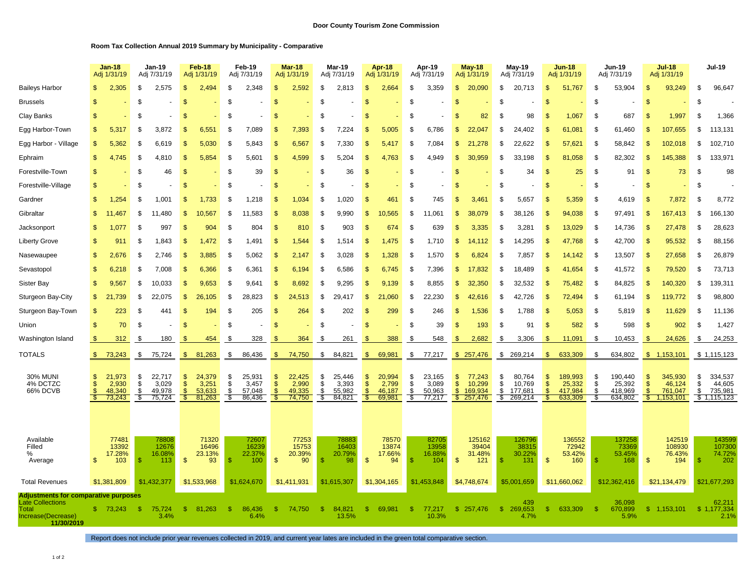## **Room Tax Collection Annual 2019 Summary by Municipality - Comparative**

|                                                                                                              |          | <b>Jan-18</b><br>Adj 1/31/19        |                  | Jan-19<br>Adj 7/31/19               |                                          | Feb-18<br>Adj 1/31/19               |                       | Feb-19<br>Adj 7/31/19               |                                      | <b>Mar-18</b><br>Adj 1/31/19        |                      | Mar-19<br>Adj 7/31/19               |                                                          | Apr-18<br>Adj 1/31/19               |                       | Apr-19<br>Adj 7/31/19               |                                             | <b>May-18</b><br>Adj 1/31/19           |                      | May-19<br>Adj 7/31/19                  |                        | <b>Jun-18</b><br>Adj 1/31/19            |                                   | <b>Jun-19</b><br>Adj 7/31/19            |                              | <b>Jul-18</b><br>Adj 1/31/19              |                | <b>Jul-19</b>                               |
|--------------------------------------------------------------------------------------------------------------|----------|-------------------------------------|------------------|-------------------------------------|------------------------------------------|-------------------------------------|-----------------------|-------------------------------------|--------------------------------------|-------------------------------------|----------------------|-------------------------------------|----------------------------------------------------------|-------------------------------------|-----------------------|-------------------------------------|---------------------------------------------|----------------------------------------|----------------------|----------------------------------------|------------------------|-----------------------------------------|-----------------------------------|-----------------------------------------|------------------------------|-------------------------------------------|----------------|---------------------------------------------|
| <b>Baileys Harbor</b>                                                                                        |          | 2,305                               | -S               | 2,575                               | \$                                       | 2.494                               | \$                    | 2,348                               | \$.                                  | 2.592                               | \$.                  | 2,813                               |                                                          | 2.664                               | \$                    | 3,359                               | \$                                          | 20.090                                 | \$.                  | 20,713                                 | $\mathbb{S}$           | 51,767                                  | -S                                | 53,904                                  | \$                           | 93,249                                    | \$.            | 96,647                                      |
| <b>Brussels</b>                                                                                              | \$       |                                     |                  |                                     | \$                                       |                                     | \$                    |                                     | \$                                   |                                     | £.                   |                                     |                                                          |                                     | \$                    |                                     | £.                                          |                                        | ß.                   |                                        | \$.                    |                                         | \$                                |                                         | \$                           |                                           | \$             |                                             |
| Clay Banks                                                                                                   |          |                                     | -S               |                                     | \$                                       |                                     | £.                    |                                     | \$.                                  |                                     | £.                   |                                     |                                                          |                                     | \$                    |                                     | £.                                          | 82                                     | £.                   | 98                                     | \$.                    | 1,067                                   | -S                                | 687                                     | \$                           | 1,997                                     | \$.            | 1,366                                       |
| Egg Harbor-Town                                                                                              | \$       | 5,317                               | \$               | 3,872                               | $\mathfrak{s}$                           | 6,551                               | \$                    | 7,089                               | S                                    | 7,393                               | \$                   | 7,224                               | \$.                                                      | 5,005                               | \$                    | 6,786                               | S                                           | 22.047                                 | S                    | 24,402                                 | \$                     | 61,081                                  | - \$                              | 61,460                                  | \$                           | 107,655                                   | \$             | 113,131                                     |
| Egg Harbor - Village                                                                                         | \$       | 5,362                               | - 35             | 6,619                               | \$                                       | 5.030                               | S                     | 5,843                               | S                                    | 6,567                               | £.                   | 7,330                               |                                                          | 5                                   | S                     | 7,084                               | S.                                          | $\mathbf{2}^{\circ}$<br>278            | \$.                  | 22,622                                 | \$                     | 57,621                                  | \$                                | 58,842                                  | \$                           | 102,018                                   | S              | 102,710                                     |
| Ephraim                                                                                                      | S        | 4,745                               | -S               | 4,810                               | \$                                       | 5,854                               | S                     | 5,601                               | S                                    | 4,599                               | £.                   | 5.204                               | \$.                                                      | 4.763                               | S                     | 4.949                               | \$                                          | 30.959                                 | \$.                  | 33,198                                 | \$.                    | 81,058                                  | -S                                | 82,302                                  | \$                           | 145,388                                   | \$.            | 133,971                                     |
| Forestville-Town                                                                                             | S        |                                     | \$               | 46                                  | <b>S</b>                                 |                                     | S                     | 39                                  | S                                    |                                     | £                    | 36                                  | \$.                                                      |                                     | S                     |                                     | S                                           |                                        | \$                   | 34                                     | $\mathbb{S}$           | 25                                      | -S                                | 91                                      | \$                           | 73                                        | - \$           | 98                                          |
| Forestville-Village                                                                                          | \$.      |                                     | S                |                                     | $\mathcal{S}$                            |                                     | \$.                   |                                     | S                                    |                                     | \$.                  |                                     | \$                                                       |                                     | \$                    | $\ddot{\phantom{1}}$                | S                                           |                                        | \$.                  |                                        | \$.                    |                                         | -S                                |                                         | \$                           |                                           | \$             |                                             |
| Gardner                                                                                                      | \$       | 1,254                               | -S               | 1,001                               | \$                                       | 1.733                               | £.                    | 1,218                               | £.                                   | 1.034                               | £.                   | 1,020                               |                                                          | 461                                 | \$                    | 745                                 | £.                                          | 3,461                                  | £.                   | 5,657                                  | \$                     | 5,359                                   | -S                                | 4,619                                   | \$                           | 7,872                                     | £              | 8,772                                       |
| Gibraltar                                                                                                    | \$       | 11,467                              | \$               | 11,480                              | $\mathfrak{S}$                           | 10,567                              | \$                    | 11,583                              | \$                                   | 8,038                               | £.                   | 9,990                               | £.                                                       | 10,565                              | \$                    | 11,061                              | \$                                          | 38,079                                 | \$                   | 38,126                                 | $\mathbf{\$}$          | 94,038                                  | \$                                | 97,491                                  | \$                           | 167,413                                   | -\$            | 66,130                                      |
| Jacksonport                                                                                                  | S        | 1,077                               | \$               | 997                                 | $\mathfrak{s}$                           | 904                                 | \$                    | 804                                 | \$                                   | 810                                 | £                    | 903                                 | S                                                        | 674                                 | \$                    | 639                                 | S                                           | 3,335                                  | \$                   | 3,281                                  | \$                     | 13,029                                  | -\$                               | 14,736                                  | -\$                          | 27,478                                    | - \$           | 28,623                                      |
| <b>Liberty Grove</b>                                                                                         | \$.      | 911                                 | -S               | 1,843                               | $\mathfrak{s}$                           | 1,472                               | \$                    | 1.491                               | \$                                   | 1,544                               | \$                   | 1,514                               | - \$                                                     | .475                                | \$                    | 1,710                               | \$                                          | 14,112                                 | \$                   | 14,295                                 | $\mathfrak{s}$         | 47,768                                  | - \$                              | 42,700                                  | -\$                          | 95,532                                    | \$             | 88,156                                      |
| Nasewaupee                                                                                                   | \$       | 2,676                               | -S               | 2,746                               | -\$                                      | 3,885                               | \$                    | 5,062                               | \$                                   | 2.147                               | £.                   | 3,028                               | \$                                                       | 1,328                               | \$                    | 1,570                               | S.                                          | 6,824                                  | \$                   | 7,857                                  | \$                     | 14,142                                  | \$                                | 13,507                                  | <sup>\$</sup>                | 27,658                                    | £              | 26,879                                      |
| Sevastopol                                                                                                   | \$       | 6,218                               | \$               | 7.008                               | \$                                       | 6.366                               | S                     | 6,361                               | \$                                   | 6,194                               | £.                   | 6,586                               | \$                                                       | 6.745                               | \$                    | 7,396                               | \$                                          | 17.832                                 | \$                   | 18,489                                 | \$.                    | 41,654                                  | \$                                | 41,572                                  | <b>S</b>                     | 79,520                                    | \$.            | 73,713                                      |
| Sister Bay                                                                                                   | \$       | 9,567                               | \$               | 10,033                              | $\mathfrak{s}$                           | 9,653                               | \$                    | 9,641                               | \$                                   | 8,692                               | £.                   | 9,295                               | \$.                                                      | 9<br>139                            | \$                    | 8,855                               | \$                                          | 32,350                                 | -S                   | 32,532                                 | \$                     | 75,482                                  | -S                                | 84,825                                  | \$                           | 140,320                                   | -\$            | 139,311                                     |
| Sturgeon Bay-City                                                                                            | \$       | 21.739                              | -S               | 22.075                              | \$                                       | 26.105                              | \$                    | 28.823                              | \$                                   | 24.513                              | \$                   | 29.417                              | \$                                                       | 21.060                              | \$                    | 22.230                              | \$                                          | 42.616                                 | \$                   | 42.726                                 | \$.                    | 72,494                                  | \$                                | 61.194                                  | \$                           | 119,772                                   | - \$           | 98,800                                      |
| Sturgeon Bay-Town                                                                                            | \$       | 223                                 | \$               | 441                                 | \$                                       | 194                                 | £.                    | 205                                 | \$.                                  | 264                                 | £.                   | 202                                 | \$                                                       | 299                                 | \$                    | 246                                 | \$                                          | 1,536                                  | \$                   | 1,788                                  | \$.                    | 5,053                                   | \$                                | 5,819                                   | \$                           | 11,629                                    | £.             | 11,136                                      |
| Union                                                                                                        | \$       | 70                                  | \$               |                                     | \$                                       |                                     | \$                    |                                     | S                                    |                                     | \$.                  |                                     | S.                                                       |                                     | \$                    | 39                                  | S                                           | 193                                    | \$                   | 91                                     | S                      | 582                                     | \$                                | 598                                     | \$                           | 902                                       | - \$           | 1,427                                       |
| Washington Island                                                                                            | \$       | 312                                 | \$               | 180                                 | S.                                       | 454                                 | \$                    | 328                                 | S                                    | 364                                 | \$                   | 261                                 |                                                          | 388                                 | \$                    | 548                                 | S                                           | 2,682                                  | - \$                 | 3,306                                  | \$                     | 11,091                                  | -\$                               | 10,453                                  | -S                           | 24,626                                    | \$             | 24,253                                      |
| <b>TOTALS</b>                                                                                                | SS.      | 73,243                              | \$               | 75,724                              | $\mathfrak{F}$                           | 81,263                              | \$                    | 86,436                              | \$                                   | 74,750                              | \$                   | 84,821                              | -\$                                                      | 69,981                              | \$                    | 77,217                              |                                             | \$257,476                              | \$                   | 269,214                                | \$                     | 633,309                                 | S.                                | 634,802                                 | $\mathbb{S}$                 | 1,153,101                                 |                | \$1,115,123                                 |
| <b>30% MUNI</b><br>4% DCTZC<br>66% DCVB                                                                      | \$<br>£. | 21,973<br>2,930<br>48.340<br>73,243 | \$<br>\$<br>- \$ | 22,717<br>3,029<br>49.978<br>75,724 | \$<br>$\sqrt{2}$<br>$\mathfrak{L}$<br>S. | 24,379<br>3,251<br>53.633<br>81,263 | \$<br>\$<br>£.<br>\$. | 25,931<br>3,457<br>57.048<br>86,436 | \$<br>$\mathsf{\$}$<br>$\mathcal{S}$ | 22,425<br>2,990<br>49.335<br>74,750 | \$<br>\$<br>٩<br>\$. | 25,446<br>3,393<br>55.982<br>84,821 | $\mathfrak{s}$<br>$\mathfrak{s}$<br>$\mathcal{S}$<br>-SS | 20,994<br>2,799<br>46,187<br>69,981 | \$<br>\$<br>\$<br>\$. | 23,165<br>3,089<br>50,963<br>77,217 | \$<br>$\mathfrak{S}$<br>$\mathcal{S}$<br>S. | 77,243<br>10,299<br>169.934<br>257,476 | \$<br>\$<br>\$<br>S. | 80,764<br>10,769<br>177,681<br>269,214 | \$<br>$\ddot{\$}$<br>R | 189,993<br>25,332<br>417.984<br>633,309 | \$<br>\$<br>$\mathfrak{L}$<br>\$. | 190,440<br>25,392<br>418,969<br>634,802 | \$<br>$\sqrt{2}$<br>\$<br>-S | 345,930<br>46,124<br>761,047<br>1,153,101 | \$<br>\$<br>£. | 334,537<br>44,605<br>735,981<br>\$1,115,123 |
| Available<br>Filled<br>%<br>Average                                                                          | \$       | 77481<br>13392<br>17.28%<br>103     | -\$              | 78808<br>12676<br>16.08%<br>113     | $\mathfrak{s}$                           | 71320<br>16496<br>23.13%<br>93      | -\$                   | 72607<br>16239<br>22.37%<br>100     | $\mathbb{S}$                         | 77253<br>15753<br>20.39%<br>90      | -S                   | 78883<br>16403<br>20.79%<br>98      | $\mathbf{\$}$                                            | 78570<br>13874<br>17.66%<br>94      | \$.                   | 82705<br>13958<br>16.88%<br>104     | $\mathcal{S}$                               | 125162<br>39404<br>31.48%<br>121       | -S                   | 126796<br>38315<br>30.22%<br>131       | $\mathfrak{s}$         | 136552<br>72942<br>53.42%<br>160        | -\$                               | 137258<br>73369<br>53.45%<br>168        | $\mathfrak{S}$               | 142519<br>108930<br>76.43%<br>194         | -\$            | 143599<br>107300<br>74.72%<br>202           |
| <b>Total Revenues</b>                                                                                        |          | \$1,381,809                         |                  | \$1,432,377                         |                                          | \$1,533,968                         |                       | \$1,624,670                         |                                      | \$1,411,931                         |                      | \$1,615,307                         |                                                          | \$1,304,165                         |                       | \$1,453,848                         |                                             | \$4,748,674                            |                      | \$5,001,659                            |                        | \$11,660,062                            |                                   | \$12,362,416                            |                              | \$21,134,479                              |                | \$21,677,293                                |
| Adjustments for comparative purposes<br><b>Late Collections</b><br>Total<br>Increase(Decrease)<br>11/30/2019 | S        | 73,243                              | - 35             | 75,724<br>3.4%                      | <b>SS</b>                                | 81.263                              | - \$                  | 86,436<br>6.4%                      | S.                                   | 74,750                              | $\mathcal{F}$        | 84,821<br>13.5%                     | <b>SS</b>                                                | 69,981                              | $\mathcal{F}$         | 77,217<br>10.3%                     |                                             | \$257,476                              | S.                   | 269,653<br>4.7%                        | S                      | 633,309                                 | - 35                              | 36.098<br>670,899<br>5.9%               | S                            | 1,153,101                                 |                | 62,211<br>\$1,177,334<br>2.1%               |

Report does not include prior year revenues collected in 2019, and current year lates are included in the green total comparative section.